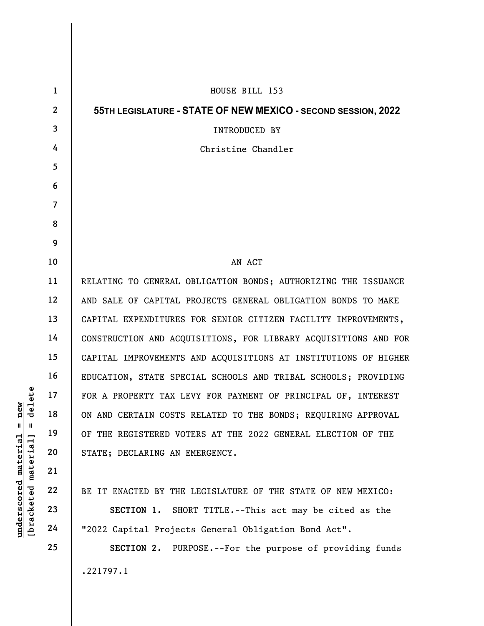|                                     | $\mathbf{1}$   | HOUSE BILL 153                                                  |
|-------------------------------------|----------------|-----------------------------------------------------------------|
|                                     | $\mathbf{2}$   | 55TH LEGISLATURE - STATE OF NEW MEXICO - SECOND SESSION, 2022   |
|                                     | $\mathbf{3}$   | INTRODUCED BY                                                   |
|                                     | 4              | Christine Chandler                                              |
|                                     | 5              |                                                                 |
|                                     | 6              |                                                                 |
|                                     | $\overline{7}$ |                                                                 |
|                                     | 8              |                                                                 |
|                                     | 9              |                                                                 |
|                                     | 10             | AN ACT                                                          |
|                                     | 11             | RELATING TO GENERAL OBLIGATION BONDS; AUTHORIZING THE ISSUANCE  |
|                                     | 12             | AND SALE OF CAPITAL PROJECTS GENERAL OBLIGATION BONDS TO MAKE   |
|                                     | 13             | CAPITAL EXPENDITURES FOR SENIOR CITIZEN FACILITY IMPROVEMENTS,  |
|                                     | 14             | CONSTRUCTION AND ACQUISITIONS, FOR LIBRARY ACQUISITIONS AND FOR |
|                                     | 15             | CAPITAL IMPROVEMENTS AND ACQUISITIONS AT INSTITUTIONS OF HIGHER |
|                                     | 16             | EDUCATION, STATE SPECIAL SCHOOLS AND TRIBAL SCHOOLS; PROVIDING  |
| delete                              | 17             | FOR A PROPERTY TAX LEVY FOR PAYMENT OF PRINCIPAL OF, INTEREST   |
| new                                 | 18             | ON AND CERTAIN COSTS RELATED TO THE BONDS; REQUIRING APPROVAL   |
| $\mathsf{I}$<br>H                   | 19             | OF THE REGISTERED VOTERS AT THE 2022 GENERAL ELECTION OF THE    |
| <u>material</u>                     | 20             | STATE; DECLARING AN EMERGENCY.                                  |
|                                     | 21             |                                                                 |
|                                     | 22             | BE IT ENACTED BY THE LEGISLATURE OF THE STATE OF NEW MEXICO:    |
| [bracketed material]<br>underscored | 23             | SHORT TITLE. -- This act may be cited as the<br>SECTION 1.      |
|                                     | 24             | "2022 Capital Projects General Obligation Bond Act".            |
|                                     | 25             | PURPOSE.--For the purpose of providing funds<br>SECTION 2.      |
|                                     |                | .221797.1                                                       |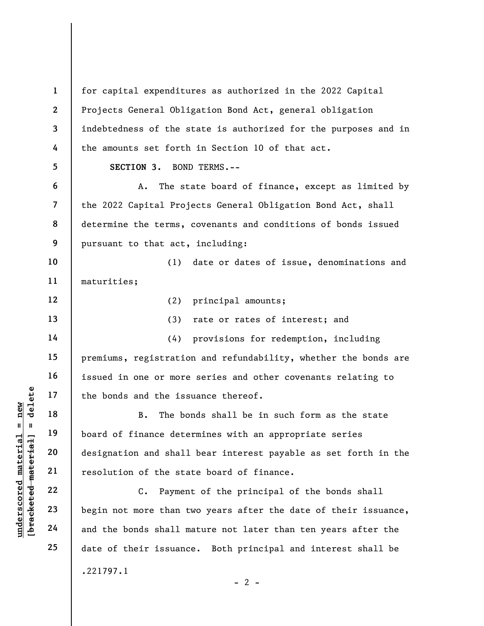understand the iss<br>
and the bonds and the iss<br>
B. The bo<br>
B. The board of finance dete<br>
designation and shall<br>
resolution of the sta<br>
22<br>
23<br>
begin not more than t<br>
24<br>
and the bonds shall m 1 2 3 4 5 6 7 8 9 10 11 12 13 14 15 16 17 18 19 20 21 22 23 24 25 for capital expenditures as authorized in the 2022 Capital Projects General Obligation Bond Act, general obligation indebtedness of the state is authorized for the purposes and in the amounts set forth in Section 10 of that act. SECTION 3. BOND TERMS.-- A. The state board of finance, except as limited by the 2022 Capital Projects General Obligation Bond Act, shall determine the terms, covenants and conditions of bonds issued pursuant to that act, including: (1) date or dates of issue, denominations and maturities; (2) principal amounts; (3) rate or rates of interest; and (4) provisions for redemption, including premiums, registration and refundability, whether the bonds are issued in one or more series and other covenants relating to the bonds and the issuance thereof. B. The bonds shall be in such form as the state board of finance determines with an appropriate series designation and shall bear interest payable as set forth in the resolution of the state board of finance. C. Payment of the principal of the bonds shall begin not more than two years after the date of their issuance, and the bonds shall mature not later than ten years after the date of their issuance. Both principal and interest shall be .221797.1  $- 2 -$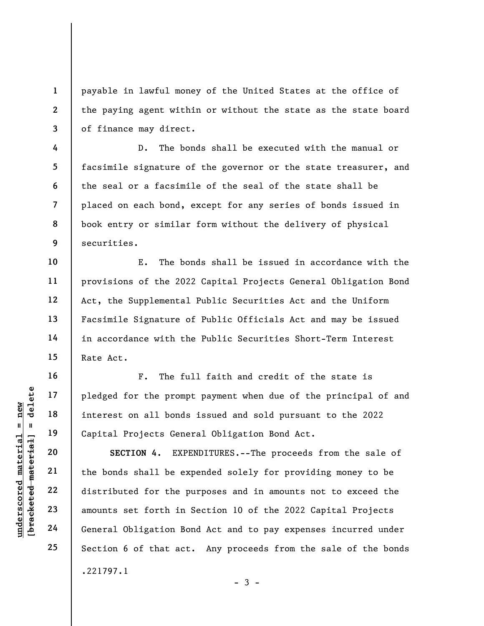payable in lawful money of the United States at the office of the paying agent within or without the state as the state board of finance may direct.

D. The bonds shall be executed with the manual or facsimile signature of the governor or the state treasurer, and the seal or a facsimile of the seal of the state shall be placed on each bond, except for any series of bonds issued in book entry or similar form without the delivery of physical securities.

10 11 12 13 14 15 E. The bonds shall be issued in accordance with the provisions of the 2022 Capital Projects General Obligation Bond Act, the Supplemental Public Securities Act and the Uniform Facsimile Signature of Public Officials Act and may be issued in accordance with the Public Securities Short-Term Interest Rate Act.

F. The full faith and credit of the state is pledged for the prompt payment when due of the principal of and interest on all bonds issued and sold pursuant to the 2022 Capital Projects General Obligation Bond Act.

underscored material material material experience of the promption of the promption of the promption of the correct single material control of the bonds shall be experienced as amounts set forth in  $24$  distributed for the SECTION 4. EXPENDITURES.--The proceeds from the sale of the bonds shall be expended solely for providing money to be distributed for the purposes and in amounts not to exceed the amounts set forth in Section 10 of the 2022 Capital Projects General Obligation Bond Act and to pay expenses incurred under Section 6 of that act. Any proceeds from the sale of the bonds .221797.1

 $-3 -$ 

1

2

3

4

5

6

7

8

9

16

17

18

19

20

21

22

23

24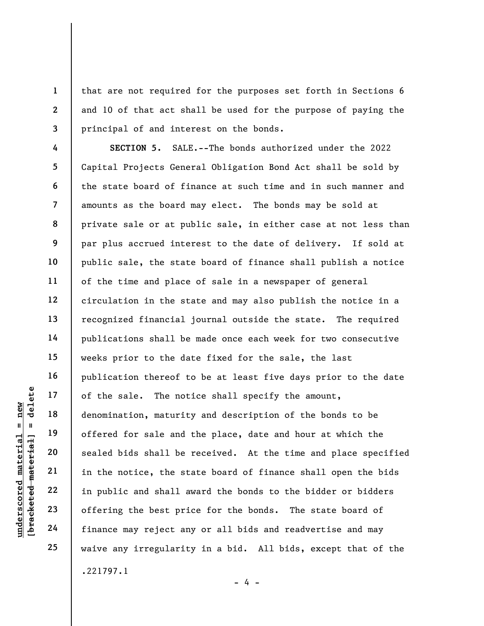that are not required for the purposes set forth in Sections 6 and 10 of that act shall be used for the purpose of paying the principal of and interest on the bonds.

understand of the sale. The not<br>
denomination, maturited material of fered for sale and<br>
sealed bids shall be<br>
21 in the notice, the st<br>
22 in public and shall a<br>
23 offering the best pri<br>
24 finance may reject and SECTION 5. SALE.--The bonds authorized under the 2022 Capital Projects General Obligation Bond Act shall be sold by the state board of finance at such time and in such manner and amounts as the board may elect. The bonds may be sold at private sale or at public sale, in either case at not less than par plus accrued interest to the date of delivery. If sold at public sale, the state board of finance shall publish a notice of the time and place of sale in a newspaper of general circulation in the state and may also publish the notice in a recognized financial journal outside the state. The required publications shall be made once each week for two consecutive weeks prior to the date fixed for the sale, the last publication thereof to be at least five days prior to the date of the sale. The notice shall specify the amount, denomination, maturity and description of the bonds to be offered for sale and the place, date and hour at which the sealed bids shall be received. At the time and place specified in the notice, the state board of finance shall open the bids in public and shall award the bonds to the bidder or bidders offering the best price for the bonds. The state board of finance may reject any or all bids and readvertise and may waive any irregularity in a bid. All bids, except that of the .221797.1

1

2

3

4

5

6

7

8

9

10

11

12

13

14

15

16

17

18

19

20

21

22

23

24

25

 $- 4 -$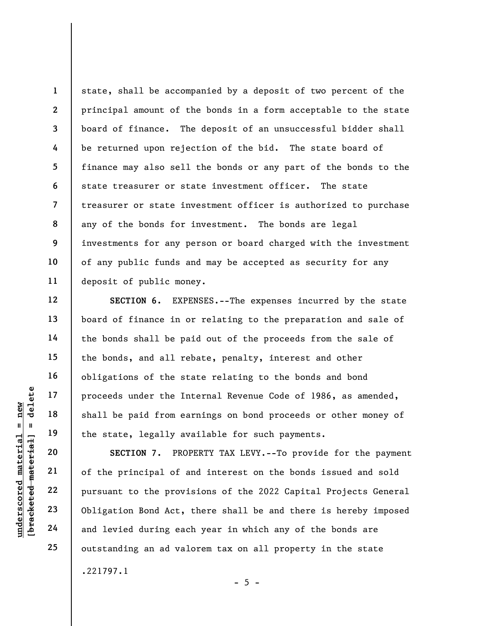1 2 3 4 5 6 7 8 9 10 11 state, shall be accompanied by a deposit of two percent of the principal amount of the bonds in a form acceptable to the state board of finance. The deposit of an unsuccessful bidder shall be returned upon rejection of the bid. The state board of finance may also sell the bonds or any part of the bonds to the state treasurer or state investment officer. The state treasurer or state investment officer is authorized to purchase any of the bonds for investment. The bonds are legal investments for any person or board charged with the investment of any public funds and may be accepted as security for any deposit of public money.

SECTION 6. EXPENSES.--The expenses incurred by the state board of finance in or relating to the preparation and sale of the bonds shall be paid out of the proceeds from the sale of the bonds, and all rebate, penalty, interest and other obligations of the state relating to the bonds and bond proceeds under the Internal Revenue Code of 1986, as amended, shall be paid from earnings on bond proceeds or other money of the state, legally available for such payments.

underscored material = new [bracketed material] = delete SECTION 7. PROPERTY TAX LEVY.--To provide for the payment of the principal of and interest on the bonds issued and sold pursuant to the provisions of the 2022 Capital Projects General Obligation Bond Act, there shall be and there is hereby imposed and levied during each year in which any of the bonds are outstanding an ad valorem tax on all property in the state .221797.1

23 24

25

12

13

14

15

16

17

18

19

20

21

22

 $- 5 -$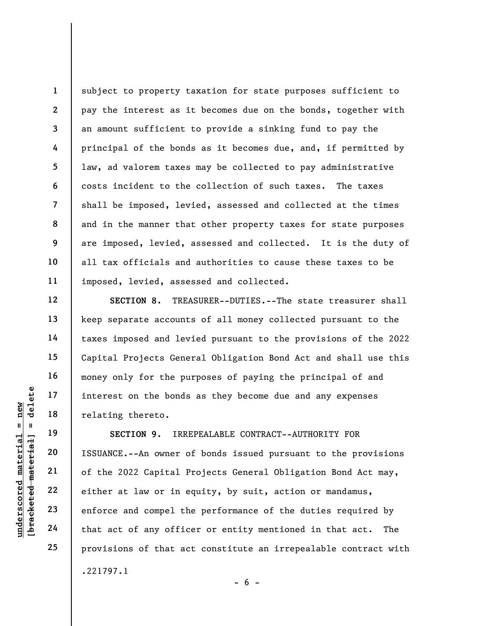3 7 8 subject to property taxation for state purposes sufficient to pay the interest as it becomes due on the bonds, together with an amount sufficient to provide a sinking fund to pay the principal of the bonds as it becomes due, and, if permitted by law, ad valorem taxes may be collected to pay administrative costs incident to the collection of such taxes. The taxes shall be imposed, levied, assessed and collected at the times and in the manner that other property taxes for state purposes are imposed, levied, assessed and collected. It is the duty of all tax officials and authorities to cause these taxes to be imposed, levied, assessed and collected.

SECTION 8. TREASURER--DUTIES.--The state treasurer shall keep separate accounts of all money collected pursuant to the taxes imposed and levied pursuant to the provisions of the 2022 Capital Projects General Obligation Bond Act and shall use this money only for the purposes of paying the principal of and interest on the bonds as they become due and any expenses relating thereto.

underscore and competion<br>  $\begin{array}{c|c|c|c} \multicolumn{1}{c|}{\textbf{a}} & \multicolumn{1}{c}{\textbf{a}} & \multicolumn{1}{c}{\textbf{b}} \\ \hline \multicolumn{1}{c}{\textbf{a}} & \multicolumn{1}{c}{\textbf{a}} & \multicolumn{1}{c}{\textbf{b}} \\ \hline \multicolumn{1}{c}{\textbf{a}} & \multicolumn{1}{c}{\textbf{a}} & \multicolumn{1}{c}{\textbf{b}} \\ \hline \multicolumn{1}{c}{\textbf{a}} & \multicolumn{1}{c}{\textbf$ SECTION 9. IRREPEALABLE CONTRACT--AUTHORITY FOR ISSUANCE.--An owner of bonds issued pursuant to the provisions of the 2022 Capital Projects General Obligation Bond Act may, either at law or in equity, by suit, action or mandamus, enforce and compel the performance of the duties required by that act of any officer or entity mentioned in that act. The provisions of that act constitute an irrepealable contract with .221797.1

 $- 6 -$ 

1

2

4

5

6

9

10

11

12

13

14

15

16

17

18

19

20

21

22

23

24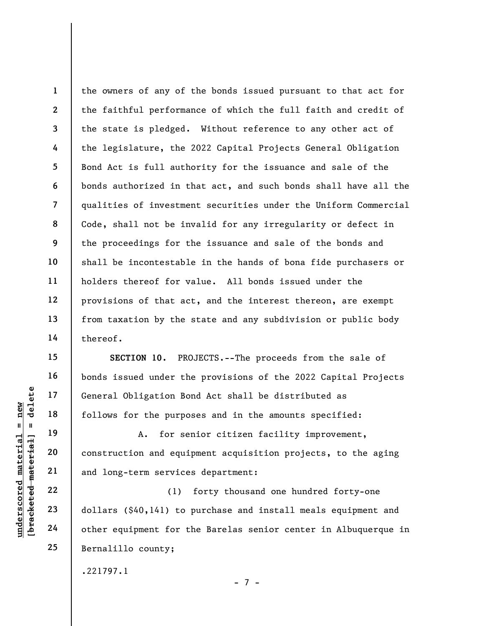the owners of any of the bonds issued pursuant to that act for the faithful performance of which the full faith and credit of the state is pledged. Without reference to any other act of the legislature, the 2022 Capital Projects General Obligation Bond Act is full authority for the issuance and sale of the bonds authorized in that act, and such bonds shall have all the qualities of investment securities under the Uniform Commercial Code, shall not be invalid for any irregularity or defect in the proceedings for the issuance and sale of the bonds and shall be incontestable in the hands of bona fide purchasers or holders thereof for value. All bonds issued under the provisions of that act, and the interest thereon, are exempt from taxation by the state and any subdivision or public body thereof.

SECTION 10. PROJECTS.--The proceeds from the sale of bonds issued under the provisions of the 2022 Capital Projects General Obligation Bond Act shall be distributed as follows for the purposes and in the amounts specified:

A. for senior citizen facility improvement, construction and equipment acquisition projects, to the aging and long-term services department:

understand to the purpose of the particle material of the particle material of the particle material and long-term service and equipment contraction and equipment for the particle construction and equipment for the particl (1) forty thousand one hundred forty-one dollars (\$40,141) to purchase and install meals equipment and other equipment for the Barelas senior center in Albuquerque in Bernalillo county;

- 7 -

.221797.1

1

2

3

4

5

6

7

8

9

10

11

12

13

14

15

16

17

18

19

20

21

22

23

24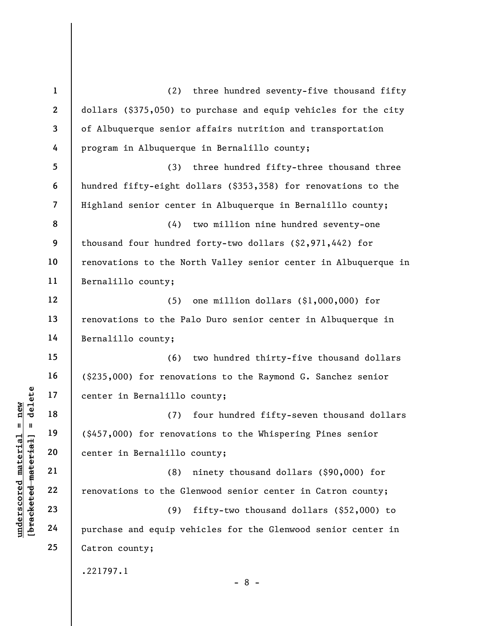|                      | $\mathbf{1}$             | (2)<br>three hundred seventy-five thousand fifty                |
|----------------------|--------------------------|-----------------------------------------------------------------|
|                      | $\overline{2}$           | dollars (\$375,050) to purchase and equip vehicles for the city |
|                      | 3                        | of Albuquerque senior affairs nutrition and transportation      |
|                      | 4                        | program in Albuquerque in Bernalillo county;                    |
|                      | 5                        | three hundred fifty-three thousand three<br>(3)                 |
|                      | 6                        | hundred fifty-eight dollars (\$353,358) for renovations to the  |
|                      | $\overline{\mathcal{L}}$ | Highland senior center in Albuquerque in Bernalillo county;     |
|                      | 8                        | two million nine hundred seventy-one<br>(4)                     |
|                      | 9                        | thousand four hundred forty-two dollars (\$2,971,442) for       |
|                      | 10                       | renovations to the North Valley senior center in Albuquerque in |
|                      | 11                       | Bernalillo county;                                              |
|                      | 12                       | one million dollars (\$1,000,000) for<br>(5)                    |
|                      | 13                       | renovations to the Palo Duro senior center in Albuquerque in    |
|                      | 14                       | Bernalillo county;                                              |
|                      | 15                       | two hundred thirty-five thousand dollars<br>(6)                 |
|                      | 16                       | (\$235,000) for renovations to the Raymond G. Sanchez senior    |
| delete               | 17                       | center in Bernalillo county;                                    |
| new<br>$\mathsf{II}$ | 18                       | four hundred fifty-seven thousand dollars<br>(7)                |
| - 11                 | 19                       | (\$457,000) for renovations to the Whispering Pines senior      |
| [bracketed material  | 20                       | center in Bernalillo county;                                    |
| underscored materia  | 21                       | ninety thousand dollars (\$90,000) for<br>(8)                   |
|                      | 22                       | renovations to the Glenwood senior center in Catron county;     |
|                      | 23                       | (9)<br>fifty-two thousand dollars (\$52,000) to                 |
|                      | 24                       | purchase and equip vehicles for the Glenwood senior center in   |
|                      | 25                       | Catron county;                                                  |
|                      |                          | .221797.1<br>$-8 -$                                             |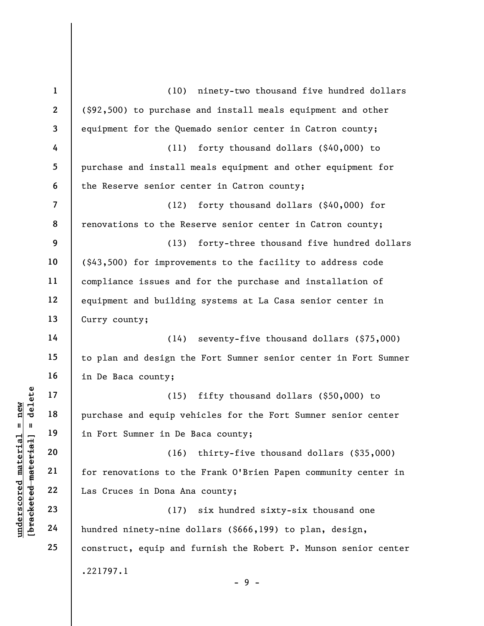underscored material material end of the same of the same of the same of the same of the same of the same of the same of the same of the same of the same of the same of the same of the same of the same of the same of the s 1 2 3 4 5 6 7 8 9 10 11 12 13 14 15 16 17 18 19 20 21 22 23 24 25 (10) ninety-two thousand five hundred dollars (\$92,500) to purchase and install meals equipment and other equipment for the Quemado senior center in Catron county; (11) forty thousand dollars (\$40,000) to purchase and install meals equipment and other equipment for the Reserve senior center in Catron county; (12) forty thousand dollars (\$40,000) for renovations to the Reserve senior center in Catron county; (13) forty-three thousand five hundred dollars (\$43,500) for improvements to the facility to address code compliance issues and for the purchase and installation of equipment and building systems at La Casa senior center in Curry county; (14) seventy-five thousand dollars (\$75,000) to plan and design the Fort Sumner senior center in Fort Sumner in De Baca county; (15) fifty thousand dollars (\$50,000) to purchase and equip vehicles for the Fort Sumner senior center in Fort Sumner in De Baca county; (16) thirty-five thousand dollars (\$35,000) for renovations to the Frank O'Brien Papen community center in Las Cruces in Dona Ana county; (17) six hundred sixty-six thousand one hundred ninety-nine dollars (\$666,199) to plan, design, construct, equip and furnish the Robert P. Munson senior center .221797.1  $-9 -$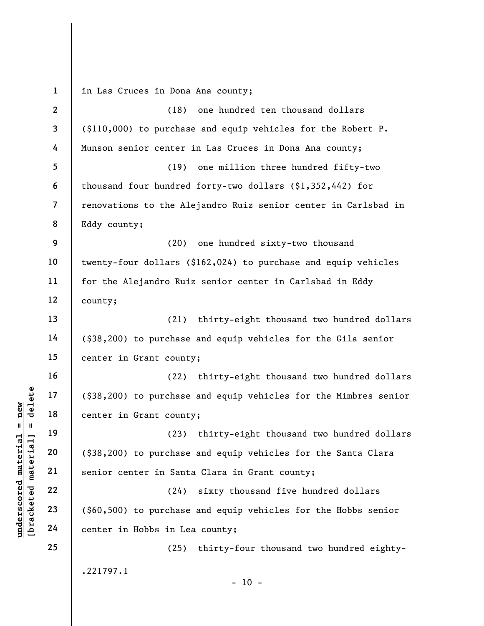underscored material = new [bracketed material] = delete 1 2 3 4 5 6 7 8 9 10 11 12 13 14 15 16 17 18 19 20 21 22 23 24 25 in Las Cruces in Dona Ana county; (18) one hundred ten thousand dollars (\$110,000) to purchase and equip vehicles for the Robert P. Munson senior center in Las Cruces in Dona Ana county; (19) one million three hundred fifty-two thousand four hundred forty-two dollars (\$1,352,442) for renovations to the Alejandro Ruiz senior center in Carlsbad in Eddy county; (20) one hundred sixty-two thousand twenty-four dollars (\$162,024) to purchase and equip vehicles for the Alejandro Ruiz senior center in Carlsbad in Eddy county; (21) thirty-eight thousand two hundred dollars (\$38,200) to purchase and equip vehicles for the Gila senior center in Grant county; (22) thirty-eight thousand two hundred dollars (\$38,200) to purchase and equip vehicles for the Mimbres senior center in Grant county; (23) thirty-eight thousand two hundred dollars (\$38,200) to purchase and equip vehicles for the Santa Clara senior center in Santa Clara in Grant county; (24) sixty thousand five hundred dollars (\$60,500) to purchase and equip vehicles for the Hobbs senior center in Hobbs in Lea county; (25) thirty-four thousand two hundred eighty- .221797.1  $-10 -$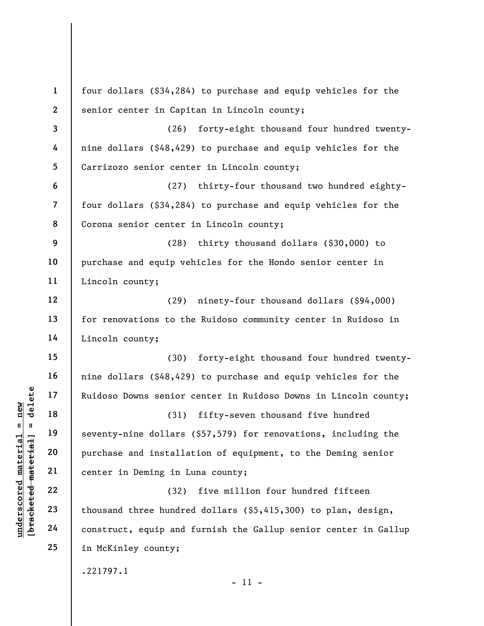|                                                                 | $\mathbf{1}$     | four dollars (\$34,284) to purchase and equip vehicles for the  |
|-----------------------------------------------------------------|------------------|-----------------------------------------------------------------|
|                                                                 | $\boldsymbol{2}$ | senior center in Capitan in Lincoln county;                     |
|                                                                 | $\mathbf{3}$     | forty-eight thousand four hundred twenty-<br>(26)               |
|                                                                 | 4                | nine dollars (\$48,429) to purchase and equip vehicles for the  |
|                                                                 | 5                | Carrizozo senior center in Lincoln county;                      |
|                                                                 | 6                | thirty-four thousand two hundred eighty-<br>(27)                |
|                                                                 | $\overline{7}$   | four dollars (\$34,284) to purchase and equip vehicles for the  |
|                                                                 | 8                | Corona senior center in Lincoln county;                         |
|                                                                 | 9                | (28)<br>thirty thousand dollars (\$30,000) to                   |
|                                                                 | 10               | purchase and equip vehicles for the Hondo senior center in      |
|                                                                 | 11               | Lincoln county;                                                 |
|                                                                 | 12               | ninety-four thousand dollars (\$94,000)<br>(29)                 |
|                                                                 | 13               | for renovations to the Ruidoso community center in Ruidoso in   |
|                                                                 | 14               | Lincoln county;                                                 |
|                                                                 | 15               | forty-eight thousand four hundred twenty-<br>(30)               |
|                                                                 | 16               | nine dollars (\$48,429) to purchase and equip vehicles for the  |
| delete                                                          | 17               | Ruidoso Downs senior center in Ruidoso Downs in Lincoln county; |
| new<br>$\mathbf{II}$<br>- II                                    | 18               | fifty-seven thousand five hundred<br>(31)                       |
|                                                                 | 19               | seventy-nine dollars (\$57,579) for renovations, including the  |
| <u>material</u><br>[ <del>brack</del> ete <del>d materia]</del> | 20               | purchase and installation of equipment, to the Deming senior    |
|                                                                 | 21               | center in Deming in Luna county;                                |
| $\bm{{\rm underscore}}$                                         | 22               | five million four hundred fifteen<br>(32)                       |
|                                                                 | 23               | thousand three hundred dollars (\$5,415,300) to plan, design,   |
|                                                                 | 24               | construct, equip and furnish the Gallup senior center in Gallup |
|                                                                 | 25               | in McKinley county;                                             |
|                                                                 |                  | .221797.1                                                       |

- 11 -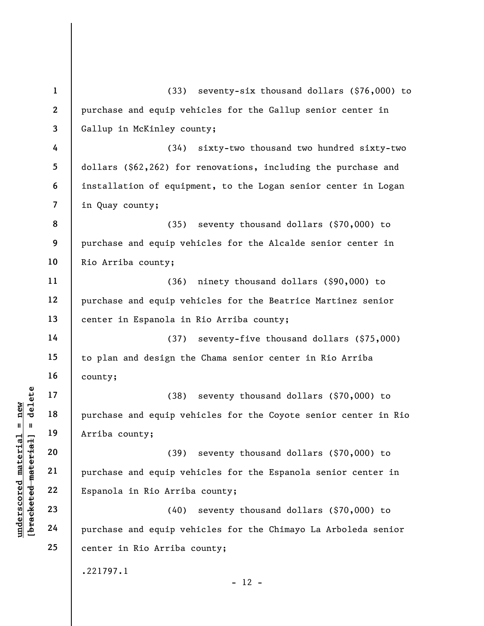underscored material material material end of the definition of the definition of the definition of the definition of the definition of the definition of the definition of the definition of the definition of the definition 1 2 3 4 5 6 7 8 9 10 11 12 13 14 15 16 17 18 19 20 21 22 23 24 25 (33) seventy-six thousand dollars (\$76,000) to purchase and equip vehicles for the Gallup senior center in Gallup in McKinley county; (34) sixty-two thousand two hundred sixty-two dollars (\$62,262) for renovations, including the purchase and installation of equipment, to the Logan senior center in Logan in Quay county; (35) seventy thousand dollars (\$70,000) to purchase and equip vehicles for the Alcalde senior center in Rio Arriba county; (36) ninety thousand dollars (\$90,000) to purchase and equip vehicles for the Beatrice Martinez senior center in Espanola in Rio Arriba county; (37) seventy-five thousand dollars (\$75,000) to plan and design the Chama senior center in Rio Arriba county; (38) seventy thousand dollars (\$70,000) to purchase and equip vehicles for the Coyote senior center in Rio Arriba county; (39) seventy thousand dollars (\$70,000) to purchase and equip vehicles for the Espanola senior center in Espanola in Rio Arriba county; (40) seventy thousand dollars (\$70,000) to purchase and equip vehicles for the Chimayo La Arboleda senior center in Rio Arriba county; .221797.1  $- 12 -$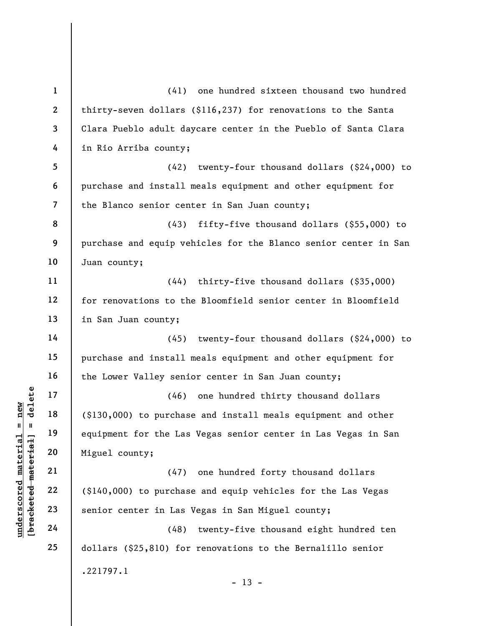underscored material material material and the sequipment for the Last<br>
equipment for the Last<br>
equipment for the Last<br>
equipment for the Last<br>
Miguel county;<br>
21<br>
22<br>
(\$140,000) to purchas<br>
senior center in Last<br>
24<br>
(48) 1 2 3 4 5 6 7 8 9 10 11 12 13 14 15 16 17 18 19 20 21 22 23 24 25 (41) one hundred sixteen thousand two hundred thirty-seven dollars (\$116,237) for renovations to the Santa Clara Pueblo adult daycare center in the Pueblo of Santa Clara in Rio Arriba county; (42) twenty-four thousand dollars (\$24,000) to purchase and install meals equipment and other equipment for the Blanco senior center in San Juan county; (43) fifty-five thousand dollars (\$55,000) to purchase and equip vehicles for the Blanco senior center in San Juan county; (44) thirty-five thousand dollars (\$35,000) for renovations to the Bloomfield senior center in Bloomfield in San Juan county; (45) twenty-four thousand dollars (\$24,000) to purchase and install meals equipment and other equipment for the Lower Valley senior center in San Juan county; (46) one hundred thirty thousand dollars (\$130,000) to purchase and install meals equipment and other equipment for the Las Vegas senior center in Las Vegas in San Miguel county; (47) one hundred forty thousand dollars (\$140,000) to purchase and equip vehicles for the Las Vegas senior center in Las Vegas in San Miguel county; (48) twenty-five thousand eight hundred ten dollars (\$25,810) for renovations to the Bernalillo senior .221797.1  $- 13 -$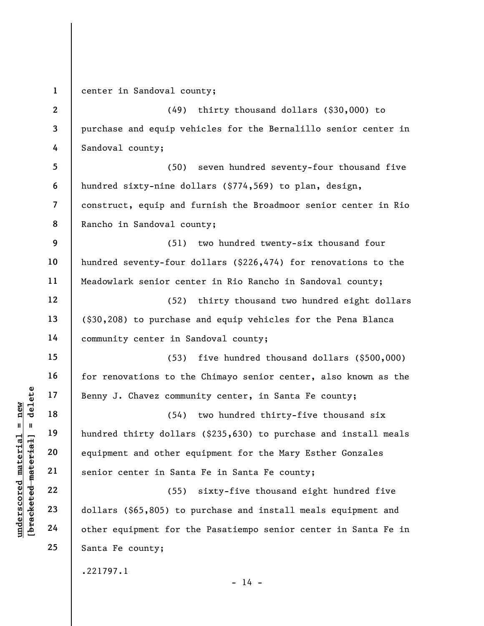|                      | $\mathbf{1}$   | center in Sandoval county;                                        |
|----------------------|----------------|-------------------------------------------------------------------|
|                      | $\mathbf{2}$   | thirty thousand dollars $(\$30,000)$ to<br>(49)                   |
|                      | $\mathbf{3}$   | purchase and equip vehicles for the Bernalillo senior center in   |
|                      | 4              | Sandoval county;                                                  |
|                      | 5              | seven hundred seventy-four thousand five<br>(50)                  |
|                      | 6              | hundred sixty-nine dollars (\$774,569) to plan, design,           |
|                      | $\overline{7}$ | construct, equip and furnish the Broadmoor senior center in Rio   |
|                      | 8              | Rancho in Sandoval county;                                        |
|                      | 9              | (51) two hundred twenty-six thousand four                         |
|                      | 10             | hundred seventy-four dollars (\$226,474) for renovations to the   |
|                      | 11             | Meadowlark senior center in Rio Rancho in Sandoval county;        |
|                      | 12             | (52)<br>thirty thousand two hundred eight dollars                 |
|                      | 13             | (\$30,208) to purchase and equip vehicles for the Pena Blanca     |
|                      | 14             | community center in Sandoval county;                              |
|                      | 15             | (53)<br>five hundred thousand dollars $(\$500,000)$               |
|                      | 16             | for renovations to the Chimayo senior center, also known as the   |
| delete               | 17             | Benny J. Chavez community center, in Santa Fe county;             |
| new<br>$\parallel$   | 18             | two hundred thirty-five thousand six<br>(54)                      |
| $\mathbf{I}$         | 19             | hundred thirty dollars (\$235,630) to purchase and install meals  |
| material<br>material | 20             | equipment and other equipment for the Mary Esther Gonzales        |
|                      | 21             | senior center in Santa Fe in Santa Fe county;                     |
| $underscore$         | 22             | (55)<br>sixty-five thousand eight hundred five                    |
| [bracketed           | 23             | dollars ( $$65,805$ ) to purchase and install meals equipment and |
|                      | 24             | other equipment for the Pasatiempo senior center in Santa Fe in   |
|                      | 25             | Santa Fe county;                                                  |
|                      |                | .221797.1                                                         |
|                      |                |                                                                   |

- 14 -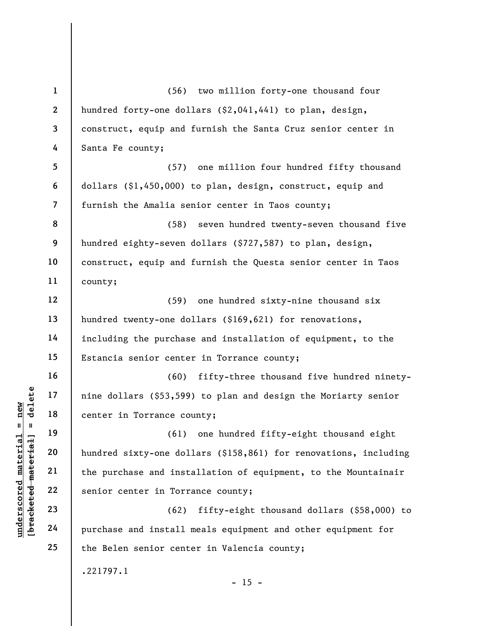underscored material material material material center in Torrance content<br>derivative material material center in Torrance content<br>derivative and instant<br>derivative 22<br>and 22<br>and 23<br>derivative center in Torrance 23<br>(62)<br>pu 1 2 3 4 5 6 7 8 9 10 11 12 13 14 15 16 17 18 19 20 21 22 23 24 25 (56) two million forty-one thousand four hundred forty-one dollars (\$2,041,441) to plan, design, construct, equip and furnish the Santa Cruz senior center in Santa Fe county; (57) one million four hundred fifty thousand dollars (\$1,450,000) to plan, design, construct, equip and furnish the Amalia senior center in Taos county; (58) seven hundred twenty-seven thousand five hundred eighty-seven dollars (\$727,587) to plan, design, construct, equip and furnish the Questa senior center in Taos county; (59) one hundred sixty-nine thousand six hundred twenty-one dollars (\$169,621) for renovations, including the purchase and installation of equipment, to the Estancia senior center in Torrance county; (60) fifty-three thousand five hundred ninetynine dollars (\$53,599) to plan and design the Moriarty senior center in Torrance county; (61) one hundred fifty-eight thousand eight hundred sixty-one dollars (\$158,861) for renovations, including the purchase and installation of equipment, to the Mountainair senior center in Torrance county; (62) fifty-eight thousand dollars (\$58,000) to purchase and install meals equipment and other equipment for the Belen senior center in Valencia county; .221797.1  $- 15 -$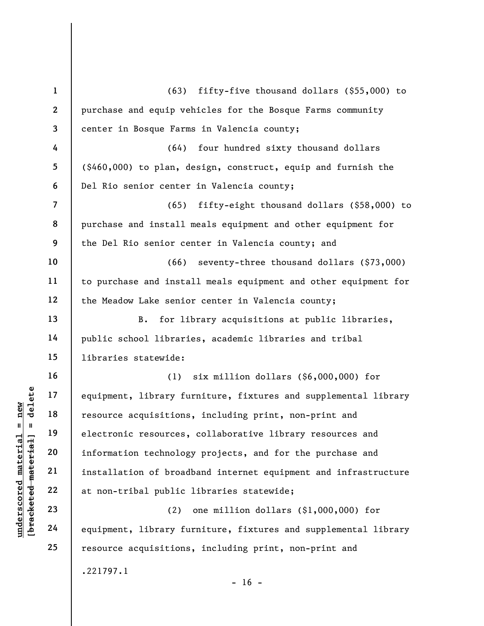|                                           | $\mathbf{1}$             | (63) fifty-five thousand dollars (\$55,000) to                  |
|-------------------------------------------|--------------------------|-----------------------------------------------------------------|
|                                           | $\mathbf{2}$             | purchase and equip vehicles for the Bosque Farms community      |
|                                           | 3                        | center in Bosque Farms in Valencia county;                      |
|                                           | 4                        | (64) four hundred sixty thousand dollars                        |
|                                           | 5                        | (\$460,000) to plan, design, construct, equip and furnish the   |
|                                           | 6                        | Del Rio senior center in Valencia county;                       |
|                                           | $\overline{\mathcal{L}}$ | fifty-eight thousand dollars (\$58,000) to<br>(65)              |
|                                           | 8                        | purchase and install meals equipment and other equipment for    |
|                                           | 9                        | the Del Rio senior center in Valencia county; and               |
|                                           | 10                       | (66) seventy-three thousand dollars (\$73,000)                  |
|                                           | 11                       | to purchase and install meals equipment and other equipment for |
|                                           | 12                       | the Meadow Lake senior center in Valencia county;               |
|                                           | 13                       | for library acquisitions at public libraries,<br>B.             |
|                                           | 14                       | public school libraries, academic libraries and tribal          |
|                                           | 15                       | libraries statewide:                                            |
|                                           | 16                       | six million dollars $(\$6,000,000)$ for<br>(1)                  |
| delete                                    | 17                       | equipment, library furniture, fixtures and supplemental library |
| new<br>$\mathbf{u}$<br>- II               | 18                       | resource acquisitions, including print, non-print and           |
|                                           | 19                       | electronic resources, collaborative library resources and       |
| $\mathtt{materia}$<br>[bracketed material | 20                       | information technology projects, and for the purchase and       |
|                                           | 21                       | installation of broadband internet equipment and infrastructure |
| $\bm{{\rm underscore}}$                   | 22                       | at non-tribal public libraries statewide;                       |
|                                           | 23                       | one million dollars (\$1,000,000) for<br>(2)                    |
|                                           | 24                       | equipment, library furniture, fixtures and supplemental library |
|                                           | 25                       | resource acquisitions, including print, non-print and           |
|                                           |                          | .221797.1                                                       |

- 16 -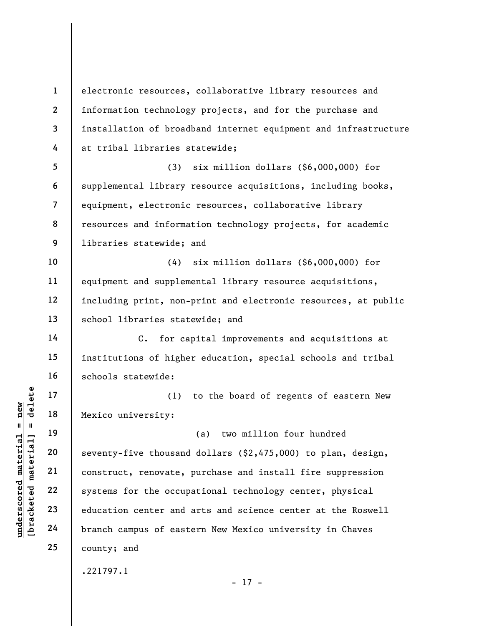underscored material = new [bracketed material] = delete 1 2 3 4 5 6 7 8 9 10 11 12 13 14 15 16 17 18 19 20 21 22 23 24 25 electronic resources, collaborative library resources and information technology projects, and for the purchase and installation of broadband internet equipment and infrastructure at tribal libraries statewide; (3) six million dollars (\$6,000,000) for supplemental library resource acquisitions, including books, equipment, electronic resources, collaborative library resources and information technology projects, for academic libraries statewide; and (4) six million dollars (\$6,000,000) for equipment and supplemental library resource acquisitions, including print, non-print and electronic resources, at public school libraries statewide; and C. for capital improvements and acquisitions at institutions of higher education, special schools and tribal schools statewide: (1) to the board of regents of eastern New Mexico university: (a) two million four hundred seventy-five thousand dollars (\$2,475,000) to plan, design, construct, renovate, purchase and install fire suppression systems for the occupational technology center, physical education center and arts and science center at the Roswell branch campus of eastern New Mexico university in Chaves county; and .221797.1

- 17 -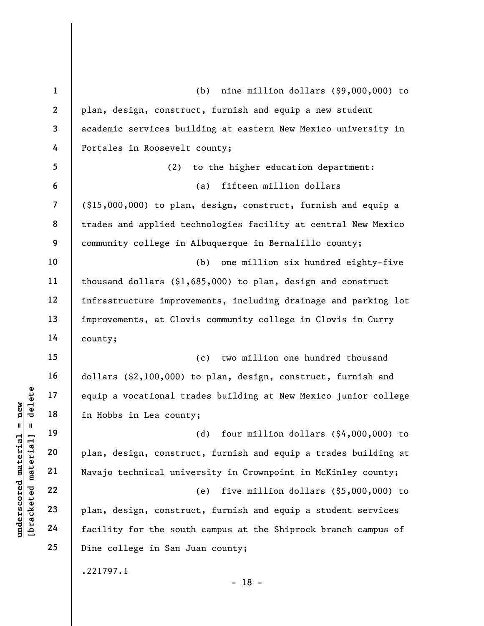|                                | $\mathbf 1$             | nine million dollars (\$9,000,000) to<br>(b)                    |
|--------------------------------|-------------------------|-----------------------------------------------------------------|
|                                | $\mathbf{2}$            | plan, design, construct, furnish and equip a new student        |
|                                | 3                       | academic services building at eastern New Mexico university in  |
|                                | 4                       | Portales in Roosevelt county;                                   |
|                                | 5                       | (2)<br>to the higher education department:                      |
|                                | $\boldsymbol{6}$        | fifteen million dollars<br>(a)                                  |
|                                | $\overline{\mathbf{z}}$ | $(15,000,000)$ to plan, design, construct, furnish and equip a  |
|                                | 8                       | trades and applied technologies facility at central New Mexico  |
|                                | 9                       | community college in Albuquerque in Bernalillo county;          |
|                                | 10                      | one million six hundred eighty-five<br>(b)                      |
|                                | 11                      | thousand dollars $(§1,685,000)$ to plan, design and construct   |
|                                | 12                      | infrastructure improvements, including drainage and parking lot |
|                                | 13                      | improvements, at Clovis community college in Clovis in Curry    |
|                                | 14                      | county;                                                         |
|                                | 15                      | two million one hundred thousand<br>(c)                         |
|                                | 16                      | dollars (\$2,100,000) to plan, design, construct, furnish and   |
| delete                         | 17                      | equip a vocational trades building at New Mexico junior college |
| new                            | 18                      | in Hobbs in Lea county;                                         |
| $\sf II$<br>- II               | 19                      | four million dollars $(§4,000,000)$ to<br>(d)                   |
| materia<br>[bracketed material | 20                      | plan, design, construct, furnish and equip a trades building at |
|                                | 21                      | Navajo technical university in Crownpoint in McKinley county;   |
| $\bm{{\rm underscore}}$        | 22                      | five million dollars $(55,000,000)$ to<br>(e)                   |
|                                | 23                      | plan, design, construct, furnish and equip a student services   |
|                                | 24                      | facility for the south campus at the Shiprock branch campus of  |
|                                | 25                      | Dine college in San Juan county;                                |
|                                |                         | .221797.1                                                       |
|                                |                         | $-18 -$                                                         |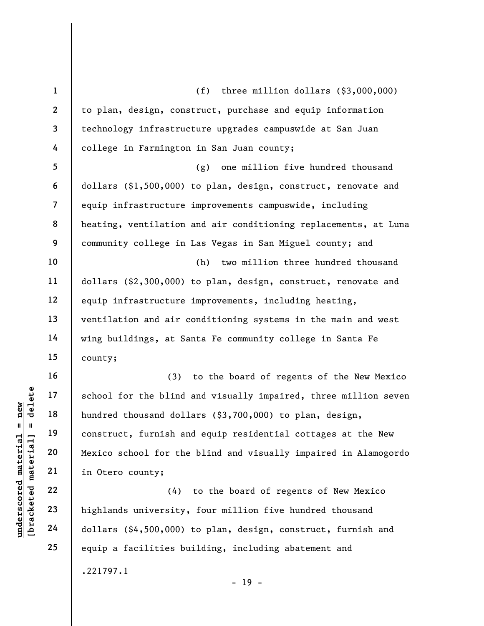underscore of the blind<br>
and the blind<br>
material is the blind<br>
material construct, furnish and<br>
material construct, furnish and<br>
material construct, furnish and<br>
material construct, furnish and<br>
material construct, furnish 1 2 3 4 5 6 7 8 9 10 11 12 13 14 15 16 17 18 19 20 21 22 23 24 25 (f) three million dollars (\$3,000,000) to plan, design, construct, purchase and equip information technology infrastructure upgrades campuswide at San Juan college in Farmington in San Juan county; (g) one million five hundred thousand dollars (\$1,500,000) to plan, design, construct, renovate and equip infrastructure improvements campuswide, including heating, ventilation and air conditioning replacements, at Luna community college in Las Vegas in San Miguel county; and (h) two million three hundred thousand dollars (\$2,300,000) to plan, design, construct, renovate and equip infrastructure improvements, including heating, ventilation and air conditioning systems in the main and west wing buildings, at Santa Fe community college in Santa Fe county; (3) to the board of regents of the New Mexico school for the blind and visually impaired, three million seven hundred thousand dollars (\$3,700,000) to plan, design, construct, furnish and equip residential cottages at the New Mexico school for the blind and visually impaired in Alamogordo in Otero county; (4) to the board of regents of New Mexico highlands university, four million five hundred thousand dollars (\$4,500,000) to plan, design, construct, furnish and equip a facilities building, including abatement and .221797.1

- 19 -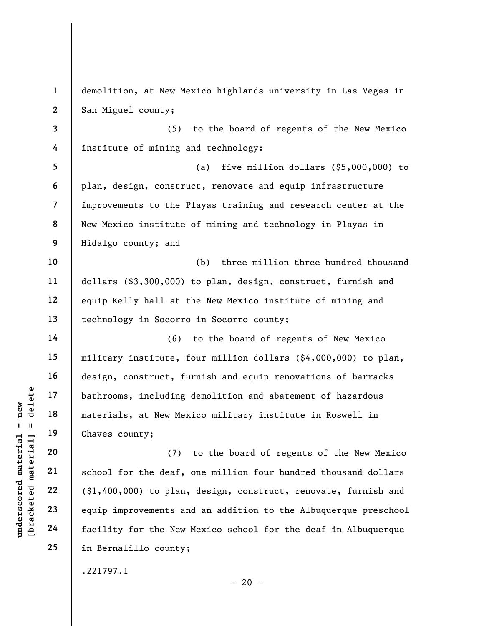underscored material = new [bracketed material] = delete 1 2 3 4 5 6 7 8 9 10 11 12 13 14 15 16 17 18 19 20 21 22 23 24 25 demolition, at New Mexico highlands university in Las Vegas in San Miguel county; (5) to the board of regents of the New Mexico institute of mining and technology: (a) five million dollars (\$5,000,000) to plan, design, construct, renovate and equip infrastructure improvements to the Playas training and research center at the New Mexico institute of mining and technology in Playas in Hidalgo county; and (b) three million three hundred thousand dollars (\$3,300,000) to plan, design, construct, furnish and equip Kelly hall at the New Mexico institute of mining and technology in Socorro in Socorro county; (6) to the board of regents of New Mexico military institute, four million dollars (\$4,000,000) to plan, design, construct, furnish and equip renovations of barracks bathrooms, including demolition and abatement of hazardous materials, at New Mexico military institute in Roswell in Chaves county; (7) to the board of regents of the New Mexico school for the deaf, one million four hundred thousand dollars (\$1,400,000) to plan, design, construct, renovate, furnish and equip improvements and an addition to the Albuquerque preschool facility for the New Mexico school for the deaf in Albuquerque in Bernalillo county;

.221797.1

 $- 20 -$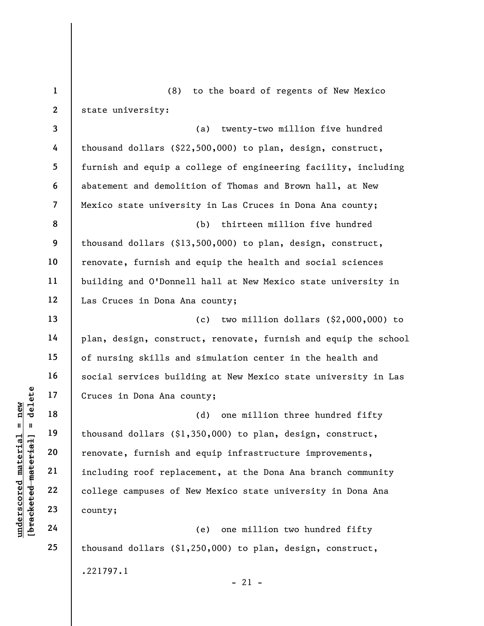underscore material material end and thousand dollars (\$1, renovate, furnish and including roof replacements of N<br>
with the same of the same of the same of the same of the same of the same of the same of  $\frac{23}{4}$  county; 1 2 3 4 5 6 7 8 9 10 11 12 13 14 15 16 17 18 19 20 21 22 23 24 25 (8) to the board of regents of New Mexico state university: (a) twenty-two million five hundred thousand dollars (\$22,500,000) to plan, design, construct, furnish and equip a college of engineering facility, including abatement and demolition of Thomas and Brown hall, at New Mexico state university in Las Cruces in Dona Ana county; (b) thirteen million five hundred thousand dollars (\$13,500,000) to plan, design, construct, renovate, furnish and equip the health and social sciences building and O'Donnell hall at New Mexico state university in Las Cruces in Dona Ana county; (c) two million dollars (\$2,000,000) to plan, design, construct, renovate, furnish and equip the school of nursing skills and simulation center in the health and social services building at New Mexico state university in Las Cruces in Dona Ana county; (d) one million three hundred fifty thousand dollars (\$1,350,000) to plan, design, construct, renovate, furnish and equip infrastructure improvements, including roof replacement, at the Dona Ana branch community college campuses of New Mexico state university in Dona Ana county; (e) one million two hundred fifty thousand dollars (\$1,250,000) to plan, design, construct,

.221797.1

 $-21 -$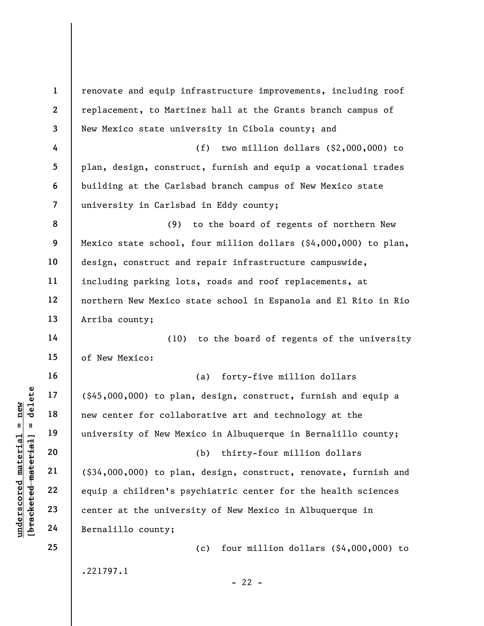underscored material material equipment of New Mexangle<br>
with 19<br>
university of New Mex<br>
20<br>
university of New Mex<br>
21<br>
(\$34,000,000) to plan<br>
equip a children's ps<br>
center at the univers<br>
24<br>
Bernalillo county; 1 2 3 4 5 6 7 8 9 10 11 12 13 14 15 16 17 18 19 20 21 22 23 24 25 renovate and equip infrastructure improvements, including roof replacement, to Martinez hall at the Grants branch campus of New Mexico state university in Cibola county; and (f) two million dollars (\$2,000,000) to plan, design, construct, furnish and equip a vocational trades building at the Carlsbad branch campus of New Mexico state university in Carlsbad in Eddy county; (9) to the board of regents of northern New Mexico state school, four million dollars (\$4,000,000) to plan, design, construct and repair infrastructure campuswide, including parking lots, roads and roof replacements, at northern New Mexico state school in Espanola and El Rito in Rio Arriba county; (10) to the board of regents of the university of New Mexico: (a) forty-five million dollars (\$45,000,000) to plan, design, construct, furnish and equip a new center for collaborative art and technology at the university of New Mexico in Albuquerque in Bernalillo county; (b) thirty-four million dollars (\$34,000,000) to plan, design, construct, renovate, furnish and equip a children's psychiatric center for the health sciences center at the university of New Mexico in Albuquerque in Bernalillo county; (c) four million dollars (\$4,000,000) to .221797.1

 $- 22 -$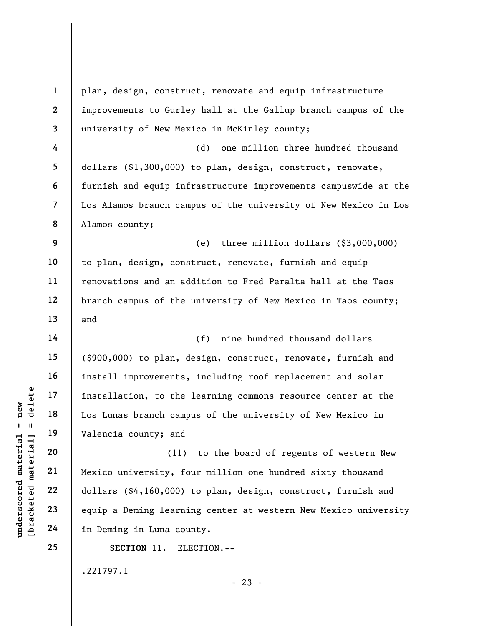underscored material = new [bracketed material] = delete 1 2 3 4 5 6 7 8 9 10 11 12 13 14 15 16 17 18 19 20 21 22 23 24 25 plan, design, construct, renovate and equip infrastructure improvements to Gurley hall at the Gallup branch campus of the university of New Mexico in McKinley county; (d) one million three hundred thousand dollars (\$1,300,000) to plan, design, construct, renovate, furnish and equip infrastructure improvements campuswide at the Los Alamos branch campus of the university of New Mexico in Los Alamos county; (e) three million dollars (\$3,000,000) to plan, design, construct, renovate, furnish and equip renovations and an addition to Fred Peralta hall at the Taos branch campus of the university of New Mexico in Taos county; and (f) nine hundred thousand dollars (\$900,000) to plan, design, construct, renovate, furnish and install improvements, including roof replacement and solar installation, to the learning commons resource center at the Los Lunas branch campus of the university of New Mexico in Valencia county; and (11) to the board of regents of western New Mexico university, four million one hundred sixty thousand dollars (\$4,160,000) to plan, design, construct, furnish and equip a Deming learning center at western New Mexico university in Deming in Luna county. SECTION 11. ELECTION.--

.221797.1

 $- 23 -$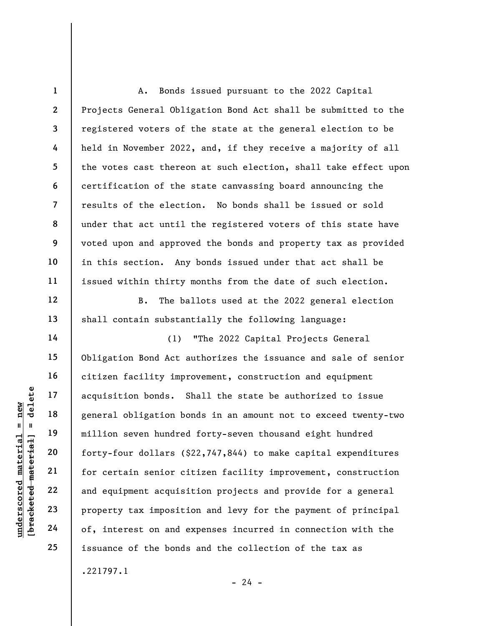1 2 3 4 5 6 7 8 9 10 11 A. Bonds issued pursuant to the 2022 Capital Projects General Obligation Bond Act shall be submitted to the registered voters of the state at the general election to be held in November 2022, and, if they receive a majority of all the votes cast thereon at such election, shall take effect upon certification of the state canvassing board announcing the results of the election. No bonds shall be issued or sold under that act until the registered voters of this state have voted upon and approved the bonds and property tax as provided in this section. Any bonds issued under that act shall be issued within thirty months from the date of such election.

B. The ballots used at the 2022 general election shall contain substantially the following language:

understand material scores in the sense of the sense of the sense of the sense of the sense of the sense of the sense of the sense of the sense of the sense of the sense of the sense of the sense of the sense of the sense (1) "The 2022 Capital Projects General Obligation Bond Act authorizes the issuance and sale of senior citizen facility improvement, construction and equipment acquisition bonds. Shall the state be authorized to issue general obligation bonds in an amount not to exceed twenty-two million seven hundred forty-seven thousand eight hundred forty-four dollars (\$22,747,844) to make capital expenditures for certain senior citizen facility improvement, construction and equipment acquisition projects and provide for a general property tax imposition and levy for the payment of principal of, interest on and expenses incurred in connection with the issuance of the bonds and the collection of the tax as .221797.1

12

13

14

15

16

17

18

19

20

21

22

23

24

25

 $- 24 -$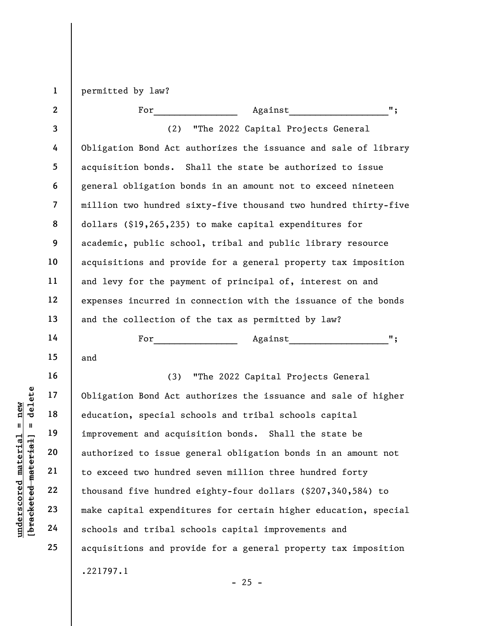permitted by law?

1

underscored material = new [bracketed material] = delete 2 3 4 5 6 7 8 9 10 11 12 13 14 15 16 17 18 19 20 21 22 23 24 25 For\_\_\_\_\_\_\_\_\_\_\_\_\_\_\_\_ Against\_\_\_\_\_\_\_\_\_\_\_\_\_\_\_\_\_\_\_"; (2) "The 2022 Capital Projects General Obligation Bond Act authorizes the issuance and sale of library acquisition bonds. Shall the state be authorized to issue general obligation bonds in an amount not to exceed nineteen million two hundred sixty-five thousand two hundred thirty-five dollars (\$19,265,235) to make capital expenditures for academic, public school, tribal and public library resource acquisitions and provide for a general property tax imposition and levy for the payment of principal of, interest on and expenses incurred in connection with the issuance of the bonds and the collection of the tax as permitted by law? For against  $\blacksquare$ ; and (3) "The 2022 Capital Projects General Obligation Bond Act authorizes the issuance and sale of higher education, special schools and tribal schools capital improvement and acquisition bonds. Shall the state be authorized to issue general obligation bonds in an amount not to exceed two hundred seven million three hundred forty thousand five hundred eighty-four dollars (\$207,340,584) to make capital expenditures for certain higher education, special schools and tribal schools capital improvements and acquisitions and provide for a general property tax imposition .221797.1

 $- 25 -$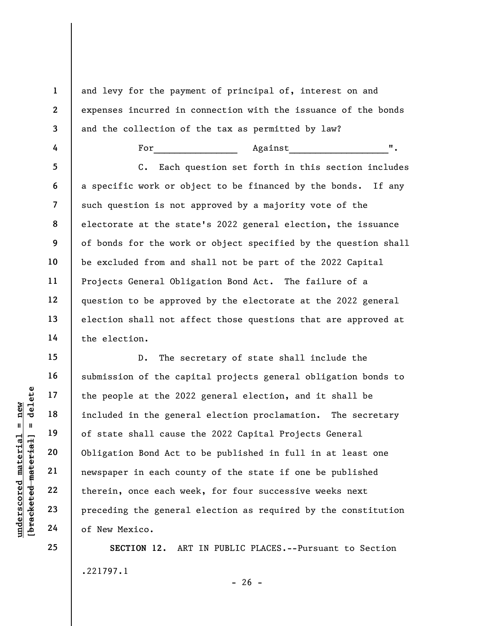and levy for the payment of principal of, interest on and expenses incurred in connection with the issuance of the bonds and the collection of the tax as permitted by law?

For Against  $\blacksquare$ 

C. Each question set forth in this section includes a specific work or object to be financed by the bonds. If any such question is not approved by a majority vote of the electorate at the state's 2022 general election, the issuance of bonds for the work or object specified by the question shall be excluded from and shall not be part of the 2022 Capital Projects General Obligation Bond Act. The failure of a question to be approved by the electorate at the 2022 general election shall not affect those questions that are approved at the election.

understand material material species of New Mexico.<br>
Wallen 19<br>
understand the general of state shall cause<br>
obligation Bond Act the period of state shall cause<br>
obligation Bond Act the period of New Mexico.<br>
Therein, once D. The secretary of state shall include the submission of the capital projects general obligation bonds to the people at the 2022 general election, and it shall be included in the general election proclamation. The secretary of state shall cause the 2022 Capital Projects General Obligation Bond Act to be published in full in at least one newspaper in each county of the state if one be published therein, once each week, for four successive weeks next preceding the general election as required by the constitution of New Mexico.

> SECTION 12. ART IN PUBLIC PLACES.--Pursuant to Section .221797.1

> > $- 26 -$

1

2

3

4

5

6

7

8

9

10

11

12

13

14

15

16

17

18

19

20

21

22

23

24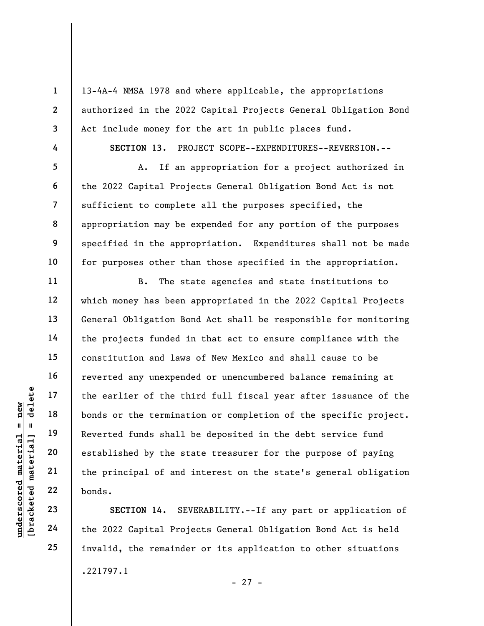13-4A-4 NMSA 1978 and where applicable, the appropriations authorized in the 2022 Capital Projects General Obligation Bond Act include money for the art in public places fund.

SECTION 13. PROJECT SCOPE--EXPENDITURES--REVERSION.--

A. If an appropriation for a project authorized in the 2022 Capital Projects General Obligation Bond Act is not sufficient to complete all the purposes specified, the appropriation may be expended for any portion of the purposes specified in the appropriation. Expenditures shall not be made for purposes other than those specified in the appropriation.

understand material of the terminated material of the terminated material of and all established by the state of the terminated material of and the principal of and bonds.<br>
The principal of and bonds.<br>
The principal of and B. The state agencies and state institutions to which money has been appropriated in the 2022 Capital Projects General Obligation Bond Act shall be responsible for monitoring the projects funded in that act to ensure compliance with the constitution and laws of New Mexico and shall cause to be reverted any unexpended or unencumbered balance remaining at the earlier of the third full fiscal year after issuance of the bonds or the termination or completion of the specific project. Reverted funds shall be deposited in the debt service fund established by the state treasurer for the purpose of paying the principal of and interest on the state's general obligation bonds.

SECTION 14. SEVERABILITY.--If any part or application of the 2022 Capital Projects General Obligation Bond Act is held invalid, the remainder or its application to other situations .221797.1 - 27 -

1

2

3

4

5

6

7

8

9

10

11

12

13

14

15

16

17

18

19

20

21

22

23

24